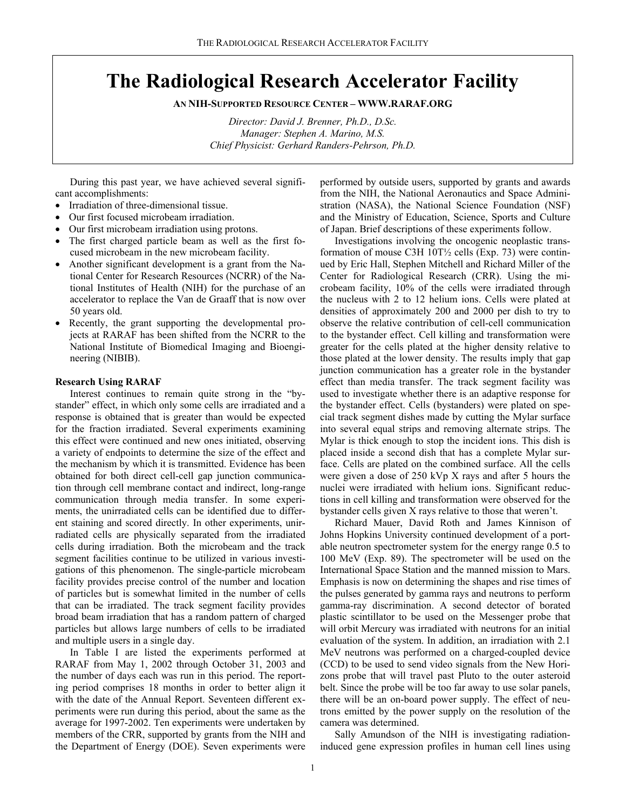# **The Radiological Research Accelerator Facility**

**AN NIH-SUPPORTED RESOURCE CENTER – WWW.RARAF.ORG** 

*Director: David J. Brenner, Ph.D., D.Sc. Manager: Stephen A. Marino, M.S. Chief Physicist: Gerhard Randers-Pehrson, Ph.D.* 

During this past year, we have achieved several significant accomplishments:

- Irradiation of three-dimensional tissue.
- Our first focused microbeam irradiation.
- Our first microbeam irradiation using protons.
- The first charged particle beam as well as the first focused microbeam in the new microbeam facility.
- Another significant development is a grant from the National Center for Research Resources (NCRR) of the National Institutes of Health (NIH) for the purchase of an accelerator to replace the Van de Graaff that is now over 50 years old.
- Recently, the grant supporting the developmental projects at RARAF has been shifted from the NCRR to the National Institute of Biomedical Imaging and Bioengineering (NIBIB).

## **Research Using RARAF**

Interest continues to remain quite strong in the "bystander" effect, in which only some cells are irradiated and a response is obtained that is greater than would be expected for the fraction irradiated. Several experiments examining this effect were continued and new ones initiated, observing a variety of endpoints to determine the size of the effect and the mechanism by which it is transmitted. Evidence has been obtained for both direct cell-cell gap junction communication through cell membrane contact and indirect, long-range communication through media transfer. In some experiments, the unirradiated cells can be identified due to different staining and scored directly. In other experiments, unirradiated cells are physically separated from the irradiated cells during irradiation. Both the microbeam and the track segment facilities continue to be utilized in various investigations of this phenomenon. The single-particle microbeam facility provides precise control of the number and location of particles but is somewhat limited in the number of cells that can be irradiated. The track segment facility provides broad beam irradiation that has a random pattern of charged particles but allows large numbers of cells to be irradiated and multiple users in a single day.

In Table I are listed the experiments performed at RARAF from May 1, 2002 through October 31, 2003 and the number of days each was run in this period. The reporting period comprises 18 months in order to better align it with the date of the Annual Report. Seventeen different experiments were run during this period, about the same as the average for 1997-2002. Ten experiments were undertaken by members of the CRR, supported by grants from the NIH and the Department of Energy (DOE). Seven experiments were performed by outside users, supported by grants and awards from the NIH, the National Aeronautics and Space Administration (NASA), the National Science Foundation (NSF) and the Ministry of Education, Science, Sports and Culture of Japan. Brief descriptions of these experiments follow.

Investigations involving the oncogenic neoplastic transformation of mouse C3H 10T½ cells (Exp. 73) were continued by Eric Hall, Stephen Mitchell and Richard Miller of the Center for Radiological Research (CRR). Using the microbeam facility, 10% of the cells were irradiated through the nucleus with 2 to 12 helium ions. Cells were plated at densities of approximately 200 and 2000 per dish to try to observe the relative contribution of cell-cell communication to the bystander effect. Cell killing and transformation were greater for the cells plated at the higher density relative to those plated at the lower density. The results imply that gap junction communication has a greater role in the bystander effect than media transfer. The track segment facility was used to investigate whether there is an adaptive response for the bystander effect. Cells (bystanders) were plated on special track segment dishes made by cutting the Mylar surface into several equal strips and removing alternate strips. The Mylar is thick enough to stop the incident ions. This dish is placed inside a second dish that has a complete Mylar surface. Cells are plated on the combined surface. All the cells were given a dose of 250 kVp X rays and after 5 hours the nuclei were irradiated with helium ions. Significant reductions in cell killing and transformation were observed for the bystander cells given X rays relative to those that weren't.

Richard Mauer, David Roth and James Kinnison of Johns Hopkins University continued development of a portable neutron spectrometer system for the energy range 0.5 to 100 MeV (Exp. 89). The spectrometer will be used on the International Space Station and the manned mission to Mars. Emphasis is now on determining the shapes and rise times of the pulses generated by gamma rays and neutrons to perform gamma-ray discrimination. A second detector of borated plastic scintillator to be used on the Messenger probe that will orbit Mercury was irradiated with neutrons for an initial evaluation of the system. In addition, an irradiation with 2.1 MeV neutrons was performed on a charged-coupled device (CCD) to be used to send video signals from the New Horizons probe that will travel past Pluto to the outer asteroid belt. Since the probe will be too far away to use solar panels, there will be an on-board power supply. The effect of neutrons emitted by the power supply on the resolution of the camera was determined.

Sally Amundson of the NIH is investigating radiationinduced gene expression profiles in human cell lines using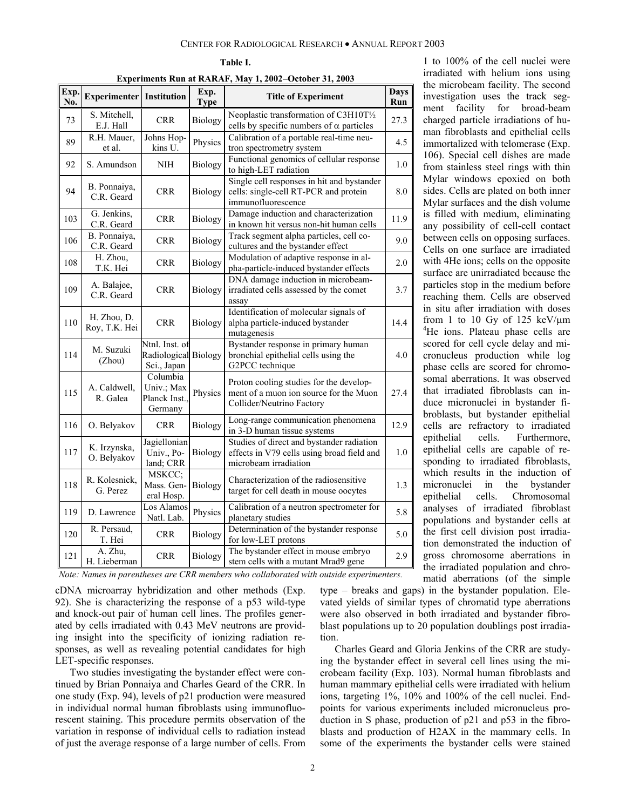| Experiments Run at RARAF, May 1, 2002–October 31, 2003 |                                 |                                                  |                     |                                                                                                                  |             |  |
|--------------------------------------------------------|---------------------------------|--------------------------------------------------|---------------------|------------------------------------------------------------------------------------------------------------------|-------------|--|
| Exp.<br>No.                                            | <b>Experimenter</b> Institution |                                                  | Exp.<br><b>Type</b> | <b>Title of Experiment</b>                                                                                       | Days<br>Run |  |
| 73                                                     | S. Mitchell,<br>E.J. Hall       | <b>CRR</b>                                       | <b>Biology</b>      | Neoplastic transformation of C3H10T1/2<br>cells by specific numbers of $\alpha$ particles                        | 27.3        |  |
| 89                                                     | R.H. Mauer,<br>et al.           | Johns Hop-<br>kins U.                            | Physics             | Calibration of a portable real-time neu-<br>tron spectrometry system                                             | 4.5         |  |
| 92                                                     | S. Amundson                     | NIH                                              | Biology             | Functional genomics of cellular response<br>to high-LET radiation                                                | 1.0         |  |
| 94                                                     | B. Ponnaiya,<br>C.R. Geard      | <b>CRR</b>                                       | <b>Biology</b>      | Single cell responses in hit and bystander<br>cells: single-cell RT-PCR and protein<br>immunofluorescence        | 8.0         |  |
| 103                                                    | G. Jenkins,<br>C.R. Geard       | <b>CRR</b>                                       | Biology             | Damage induction and characterization<br>in known hit versus non-hit human cells                                 | 11.9        |  |
| 106                                                    | B. Ponnaiya,<br>C.R. Geard      | <b>CRR</b>                                       | Biology             | Track segment alpha particles, cell co-<br>cultures and the bystander effect                                     | 9.0         |  |
| 108                                                    | H. Zhou,<br>T.K. Hei            | <b>CRR</b>                                       | Biology             | Modulation of adaptive response in al-<br>pha-particle-induced bystander effects                                 | 2.0         |  |
| 109                                                    | A. Balajee,<br>C.R. Geard       | <b>CRR</b>                                       | Biology             | DNA damage induction in microbeam-<br>irradiated cells assessed by the comet<br>assay                            | 3.7         |  |
| 110                                                    | H. Zhou, D.<br>Roy, T.K. Hei    | <b>CRR</b>                                       | <b>Biology</b>      | Identification of molecular signals of<br>alpha particle-induced bystander<br>mutagenesis                        | 14.4        |  |
| 114                                                    | M. Suzuki<br>(Zhou)             | Ntnl. Inst. of<br>Radiological<br>Sci., Japan    | Biology             | Bystander response in primary human<br>bronchial epithelial cells using the<br>G2PCC technique                   | 4.0         |  |
| 115                                                    | A. Caldwell,<br>R. Galea        | Columbia<br>Univ.; Max<br>Planck Inst<br>Germany | Physics             | Proton cooling studies for the develop-<br>ment of a muon ion source for the Muon<br>Collider/Neutrino Factory   | 27.4        |  |
| 116                                                    | O. Belyakov                     | <b>CRR</b>                                       | <b>Biology</b>      | Long-range communication phenomena<br>in 3-D human tissue systems                                                | 12.9        |  |
| 117                                                    | K. Irzynska,<br>O. Belyakov     | Jagiellonian<br>Univ., Po-<br>land; CRR          | Biology             | Studies of direct and bystander radiation<br>effects in V79 cells using broad field and<br>microbeam irradiation | 1.0         |  |
| 118                                                    | R. Kolesnick,<br>G. Perez       | MSKCC:<br>Mass. Gen-<br>eral Hosp.               | Biology             | Characterization of the radiosensitive<br>target for cell death in mouse oocytes                                 | 1.3         |  |
| 119                                                    | D. Lawrence                     | Los Alamos<br>Natl. Lab.                         | Physics             | Calibration of a neutron spectrometer for<br>planetary studies                                                   | 5.8         |  |
| 120                                                    | R. Persaud,<br>T. Hei           | <b>CRR</b>                                       | Biology             | Determination of the bystander response<br>for low-LET protons                                                   | 5.0         |  |
| 121                                                    | A. Zhu,<br>H. Lieberman         | <b>CRR</b>                                       | Biology             | The bystander effect in mouse embryo<br>stem cells with a mutant Mrad9 gene                                      | 2.9         |  |

**Table I.** 

**Experiments Run at RARAF, May 1, 2002**−**October 31, 2003** 

*Note: Names in parentheses are CRR members who collaborated with outside experimenters.*

cDNA microarray hybridization and other methods (Exp. 92). She is characterizing the response of a p53 wild-type and knock-out pair of human cell lines. The profiles generated by cells irradiated with 0.43 MeV neutrons are providing insight into the specificity of ionizing radiation responses, as well as revealing potential candidates for high LET-specific responses.

Two studies investigating the bystander effect were continued by Brian Ponnaiya and Charles Geard of the CRR. In one study (Exp. 94), levels of p21 production were measured in individual normal human fibroblasts using immunofluorescent staining. This procedure permits observation of the variation in response of individual cells to radiation instead of just the average response of a large number of cells. From

1 to 100% of the cell nuclei were irradiated with helium ions using the microbeam facility. The second investigation uses the track segment facility for broad-beam charged particle irradiations of human fibroblasts and epithelial cells immortalized with telomerase (Exp. 106). Special cell dishes are made from stainless steel rings with thin Mylar windows epoxied on both sides. Cells are plated on both inner Mylar surfaces and the dish volume is filled with medium, eliminating any possibility of cell-cell contact between cells on opposing surfaces. Cells on one surface are irradiated with 4He ions; cells on the opposite surface are unirradiated because the particles stop in the medium before reaching them. Cells are observed in situ after irradiation with doses from 1 to 10 Gy of 125 keV/ $\mu$ m <sup>4</sup>He ions. Plateau phase cells are scored for cell cycle delay and micronucleus production while log phase cells are scored for chromosomal aberrations. It was observed that irradiated fibroblasts can induce micronuclei in bystander fibroblasts, but bystander epithelial cells are refractory to irradiated epithelial cells. Furthermore, epithelial cells are capable of responding to irradiated fibroblasts, which results in the induction of micronuclei in the bystander epithelial cells. Chromosomal analyses of irradiated fibroblast populations and bystander cells at the first cell division post irradiation demonstrated the induction of gross chromosome aberrations in the irradiated population and chromatid aberrations (of the simple

type – breaks and gaps) in the bystander population. Elevated yields of similar types of chromatid type aberrations were also observed in both irradiated and bystander fibroblast populations up to 20 population doublings post irradiation.

Charles Geard and Gloria Jenkins of the CRR are studying the bystander effect in several cell lines using the microbeam facility (Exp. 103). Normal human fibroblasts and human mammary epithelial cells were irradiated with helium ions, targeting 1%, 10% and 100% of the cell nuclei. Endpoints for various experiments included micronucleus production in S phase, production of p21 and p53 in the fibroblasts and production of H2AX in the mammary cells. In some of the experiments the bystander cells were stained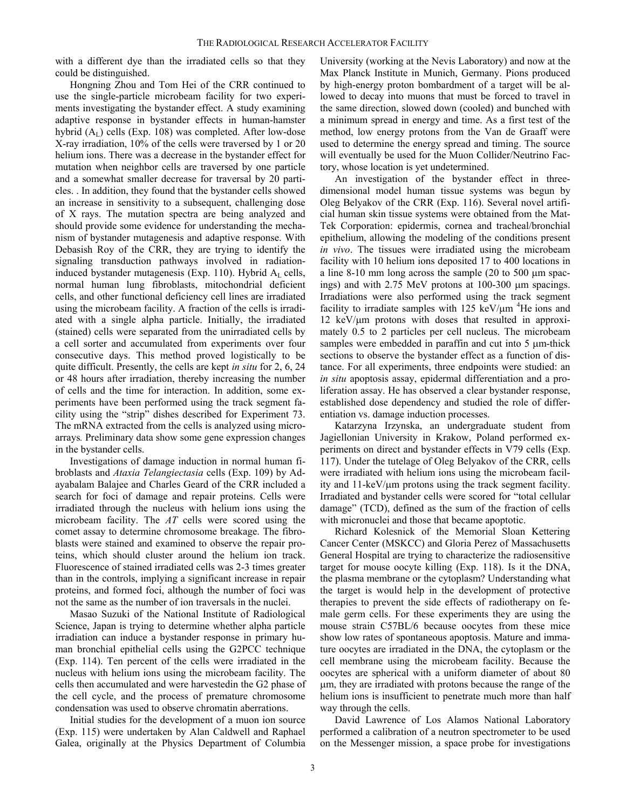with a different dye than the irradiated cells so that they could be distinguished.

Hongning Zhou and Tom Hei of the CRR continued to use the single-particle microbeam facility for two experiments investigating the bystander effect. A study examining adaptive response in bystander effects in human-hamster hybrid  $(A<sub>L</sub>)$  cells (Exp. 108) was completed. After low-dose X-ray irradiation, 10% of the cells were traversed by 1 or 20 helium ions. There was a decrease in the bystander effect for mutation when neighbor cells are traversed by one particle and a somewhat smaller decrease for traversal by 20 particles. . In addition, they found that the bystander cells showed an increase in sensitivity to a subsequent, challenging dose of X rays. The mutation spectra are being analyzed and should provide some evidence for understanding the mechanism of bystander mutagenesis and adaptive response. With Debasish Roy of the CRR, they are trying to identify the signaling transduction pathways involved in radiationinduced bystander mutagenesis (Exp. 110). Hybrid  $A<sub>L</sub>$  cells, normal human lung fibroblasts, mitochondrial deficient cells, and other functional deficiency cell lines are irradiated using the microbeam facility. A fraction of the cells is irradiated with a single alpha particle. Initially, the irradiated (stained) cells were separated from the unirradiated cells by a cell sorter and accumulated from experiments over four consecutive days. This method proved logistically to be quite difficult. Presently, the cells are kept *in situ* for 2, 6, 24 or 48 hours after irradiation, thereby increasing the number of cells and the time for interaction. In addition, some experiments have been performed using the track segment facility using the "strip" dishes described for Experiment 73. The mRNA extracted from the cells is analyzed using microarrays*.* Preliminary data show some gene expression changes in the bystander cells.

Investigations of damage induction in normal human fibroblasts and *Ataxia Telangiectasia* cells (Exp. 109) by Adayabalam Balajee and Charles Geard of the CRR included a search for foci of damage and repair proteins. Cells were irradiated through the nucleus with helium ions using the microbeam facility. The *AT* cells were scored using the comet assay to determine chromosome breakage. The fibroblasts were stained and examined to observe the repair proteins, which should cluster around the helium ion track. Fluorescence of stained irradiated cells was 2-3 times greater than in the controls, implying a significant increase in repair proteins, and formed foci, although the number of foci was not the same as the number of ion traversals in the nuclei.

Masao Suzuki of the National Institute of Radiological Science, Japan is trying to determine whether alpha particle irradiation can induce a bystander response in primary human bronchial epithelial cells using the G2PCC technique (Exp. 114). Ten percent of the cells were irradiated in the nucleus with helium ions using the microbeam facility. The cells then accumulated and were harvestedin the G2 phase of the cell cycle, and the process of premature chromosome condensation was used to observe chromatin aberrations.

Initial studies for the development of a muon ion source (Exp. 115) were undertaken by Alan Caldwell and Raphael Galea, originally at the Physics Department of Columbia University (working at the Nevis Laboratory) and now at the Max Planck Institute in Munich, Germany. Pions produced by high-energy proton bombardment of a target will be allowed to decay into muons that must be forced to travel in the same direction, slowed down (cooled) and bunched with a minimum spread in energy and time. As a first test of the method, low energy protons from the Van de Graaff were used to determine the energy spread and timing. The source will eventually be used for the Muon Collider/Neutrino Factory, whose location is yet undetermined.

An investigation of the bystander effect in threedimensional model human tissue systems was begun by Oleg Belyakov of the CRR (Exp. 116). Several novel artificial human skin tissue systems were obtained from the Mat-Tek Corporation: epidermis, cornea and tracheal/bronchial epithelium, allowing the modeling of the conditions present *in vivo*. The tissues were irradiated using the microbeam facility with 10 helium ions deposited 17 to 400 locations in a line 8-10 mm long across the sample (20 to 500 µm spacings) and with 2.75 MeV protons at 100-300 µm spacings. Irradiations were also performed using the track segment facility to irradiate samples with  $125 \text{ keV}/\mu\text{m}$ <sup>4</sup>He ions and 12 keV/ $\mu$ m protons with doses that resulted in approximately 0.5 to 2 particles per cell nucleus. The microbeam samples were embedded in paraffin and cut into 5  $\mu$ m-thick sections to observe the bystander effect as a function of distance. For all experiments, three endpoints were studied: an *in situ* apoptosis assay, epidermal differentiation and a proliferation assay. He has observed a clear bystander response, established dose dependency and studied the role of differentiation vs. damage induction processes.

Katarzyna Irzynska, an undergraduate student from Jagiellonian University in Krakow, Poland performed experiments on direct and bystander effects in V79 cells (Exp. 117). Under the tutelage of Oleg Belyakov of the CRR, cells were irradiated with helium ions using the microbeam facility and 11-keV/µm protons using the track segment facility. Irradiated and bystander cells were scored for "total cellular damage" (TCD), defined as the sum of the fraction of cells with micronuclei and those that became apoptotic.

Richard Kolesnick of the Memorial Sloan Kettering Cancer Center (MSKCC) and Gloria Perez of Massachusetts General Hospital are trying to characterize the radiosensitive target for mouse oocyte killing (Exp. 118). Is it the DNA, the plasma membrane or the cytoplasm? Understanding what the target is would help in the development of protective therapies to prevent the side effects of radiotherapy on female germ cells. For these experiments they are using the mouse strain C57BL/6 because oocytes from these mice show low rates of spontaneous apoptosis. Mature and immature oocytes are irradiated in the DNA, the cytoplasm or the cell membrane using the microbeam facility. Because the oocytes are spherical with a uniform diameter of about 80 µm, they are irradiated with protons because the range of the helium ions is insufficient to penetrate much more than half way through the cells.

David Lawrence of Los Alamos National Laboratory performed a calibration of a neutron spectrometer to be used on the Messenger mission, a space probe for investigations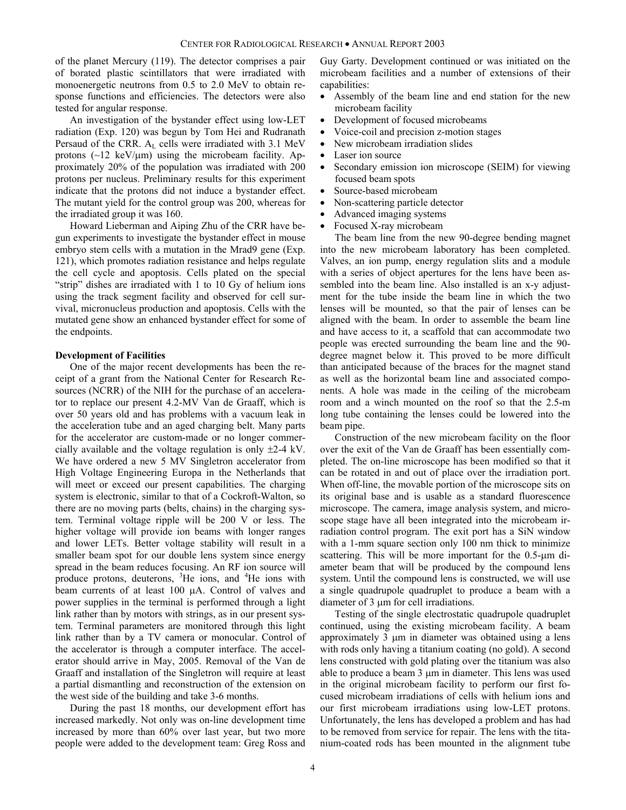of the planet Mercury (119). The detector comprises a pair of borated plastic scintillators that were irradiated with monoenergetic neutrons from 0.5 to 2.0 MeV to obtain response functions and efficiencies. The detectors were also tested for angular response.

An investigation of the bystander effect using low-LET radiation (Exp. 120) was begun by Tom Hei and Rudranath Persaud of the CRR. A<sub>L</sub> cells were irradiated with 3.1 MeV protons  $(\sim 12 \text{ keV}/\mu\text{m})$  using the microbeam facility. Approximately 20% of the population was irradiated with 200 protons per nucleus. Preliminary results for this experiment indicate that the protons did not induce a bystander effect. The mutant yield for the control group was 200, whereas for the irradiated group it was 160.

Howard Lieberman and Aiping Zhu of the CRR have begun experiments to investigate the bystander effect in mouse embryo stem cells with a mutation in the Mrad9 gene (Exp. 121), which promotes radiation resistance and helps regulate the cell cycle and apoptosis. Cells plated on the special "strip" dishes are irradiated with 1 to 10 Gy of helium ions using the track segment facility and observed for cell survival, micronucleus production and apoptosis. Cells with the mutated gene show an enhanced bystander effect for some of the endpoints.

### **Development of Facilities**

One of the major recent developments has been the receipt of a grant from the National Center for Research Resources (NCRR) of the NIH for the purchase of an accelerator to replace our present 4.2-MV Van de Graaff, which is over 50 years old and has problems with a vacuum leak in the acceleration tube and an aged charging belt. Many parts for the accelerator are custom-made or no longer commercially available and the voltage regulation is only ±2-4 kV. We have ordered a new 5 MV Singletron accelerator from High Voltage Engineering Europa in the Netherlands that will meet or exceed our present capabilities. The charging system is electronic, similar to that of a Cockroft-Walton, so there are no moving parts (belts, chains) in the charging system. Terminal voltage ripple will be 200 V or less. The higher voltage will provide ion beams with longer ranges and lower LETs. Better voltage stability will result in a smaller beam spot for our double lens system since energy spread in the beam reduces focusing. An RF ion source will produce protons, deuterons, <sup>3</sup>He ions, and <sup>4</sup>He ions with beam currents of at least 100 µA. Control of valves and power supplies in the terminal is performed through a light link rather than by motors with strings, as in our present system. Terminal parameters are monitored through this light link rather than by a TV camera or monocular. Control of the accelerator is through a computer interface. The accelerator should arrive in May, 2005. Removal of the Van de Graaff and installation of the Singletron will require at least a partial dismantling and reconstruction of the extension on the west side of the building and take 3-6 months.

During the past 18 months, our development effort has increased markedly. Not only was on-line development time increased by more than 60% over last year, but two more people were added to the development team: Greg Ross and Guy Garty. Development continued or was initiated on the microbeam facilities and a number of extensions of their capabilities:

- Assembly of the beam line and end station for the new microbeam facility
- Development of focused microbeams
- Voice-coil and precision z-motion stages
- New microbeam irradiation slides
- Laser ion source
- Secondary emission ion microscope (SEIM) for viewing focused beam spots
- Source-based microbeam
- Non-scattering particle detector
- Advanced imaging systems
- Focused X-ray microbeam

The beam line from the new 90-degree bending magnet into the new microbeam laboratory has been completed. Valves, an ion pump, energy regulation slits and a module with a series of object apertures for the lens have been assembled into the beam line. Also installed is an x-y adjustment for the tube inside the beam line in which the two lenses will be mounted, so that the pair of lenses can be aligned with the beam. In order to assemble the beam line and have access to it, a scaffold that can accommodate two people was erected surrounding the beam line and the 90 degree magnet below it. This proved to be more difficult than anticipated because of the braces for the magnet stand as well as the horizontal beam line and associated components. A hole was made in the ceiling of the microbeam room and a winch mounted on the roof so that the 2.5-m long tube containing the lenses could be lowered into the beam pipe.

Construction of the new microbeam facility on the floor over the exit of the Van de Graaff has been essentially completed. The on-line microscope has been modified so that it can be rotated in and out of place over the irradiation port. When off-line, the movable portion of the microscope sits on its original base and is usable as a standard fluorescence microscope. The camera, image analysis system, and microscope stage have all been integrated into the microbeam irradiation control program. The exit port has a SiN window with a 1-mm square section only 100 nm thick to minimize scattering. This will be more important for the 0.5-µm diameter beam that will be produced by the compound lens system. Until the compound lens is constructed, we will use a single quadrupole quadruplet to produce a beam with a diameter of 3 µm for cell irradiations.

Testing of the single electrostatic quadrupole quadruplet continued, using the existing microbeam facility. A beam approximately 3 µm in diameter was obtained using a lens with rods only having a titanium coating (no gold). A second lens constructed with gold plating over the titanium was also able to produce a beam 3  $\mu$ m in diameter. This lens was used in the original microbeam facility to perform our first focused microbeam irradiations of cells with helium ions and our first microbeam irradiations using low-LET protons. Unfortunately, the lens has developed a problem and has had to be removed from service for repair. The lens with the titanium-coated rods has been mounted in the alignment tube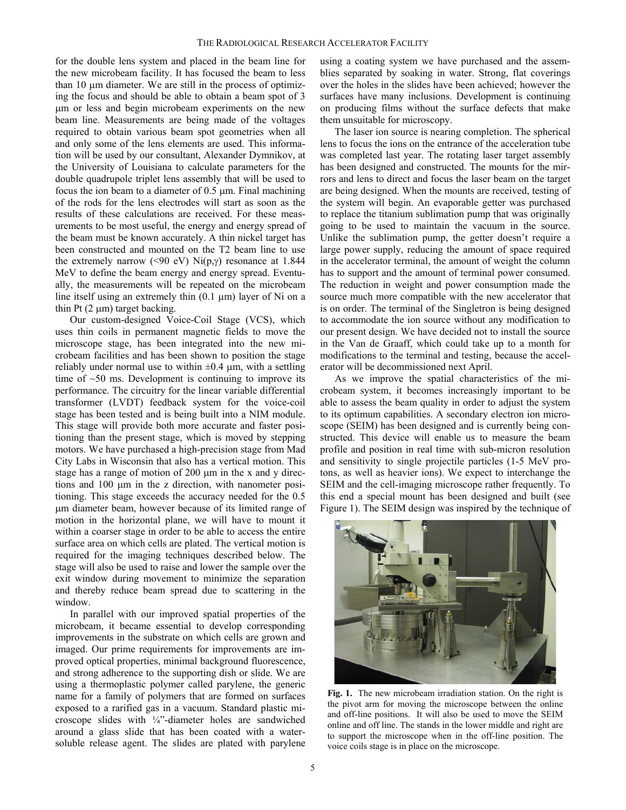for the double lens system and placed in the beam line for the new microbeam facility. It has focused the beam to less than 10 µm diameter. We are still in the process of optimizing the focus and should be able to obtain a beam spot of 3 µm or less and begin microbeam experiments on the new beam line. Measurements are being made of the voltages required to obtain various beam spot geometries when all and only some of the lens elements are used. This information will be used by our consultant, Alexander Dymnikov, at the University of Louisiana to calculate parameters for the double quadrupole triplet lens assembly that will be used to focus the ion beam to a diameter of 0.5 µm. Final machining of the rods for the lens electrodes will start as soon as the results of these calculations are received. For these measurements to be most useful, the energy and energy spread of the beam must be known accurately. A thin nickel target has been constructed and mounted on the T2 beam line to use the extremely narrow (<90 eV)  $Ni(p, \gamma)$  resonance at 1.844 MeV to define the beam energy and energy spread. Eventually, the measurements will be repeated on the microbeam line itself using an extremely thin  $(0.1 \mu m)$  layer of Ni on a thin Pt  $(2 \mu m)$  target backing.

Our custom-designed Voice-Coil Stage (VCS), which uses thin coils in permanent magnetic fields to move the microscope stage, has been integrated into the new microbeam facilities and has been shown to position the stage reliably under normal use to within  $\pm 0.4$  µm, with a settling time of  $~50$  ms. Development is continuing to improve its performance. The circuitry for the linear variable differential transformer (LVDT) feedback system for the voice-coil stage has been tested and is being built into a NIM module. This stage will provide both more accurate and faster positioning than the present stage, which is moved by stepping motors. We have purchased a high-precision stage from Mad City Labs in Wisconsin that also has a vertical motion. This stage has a range of motion of 200  $\mu$ m in the x and y directions and 100 µm in the z direction, with nanometer positioning. This stage exceeds the accuracy needed for the 0.5 µm diameter beam, however because of its limited range of motion in the horizontal plane, we will have to mount it within a coarser stage in order to be able to access the entire surface area on which cells are plated. The vertical motion is required for the imaging techniques described below. The stage will also be used to raise and lower the sample over the exit window during movement to minimize the separation and thereby reduce beam spread due to scattering in the window.

In parallel with our improved spatial properties of the microbeam, it became essential to develop corresponding improvements in the substrate on which cells are grown and imaged. Our prime requirements for improvements are improved optical properties, minimal background fluorescence, and strong adherence to the supporting dish or slide. We are using a thermoplastic polymer called parylene, the generic name for a family of polymers that are formed on surfaces exposed to a rarified gas in a vacuum. Standard plastic microscope slides with ¼"-diameter holes are sandwiched around a glass slide that has been coated with a watersoluble release agent. The slides are plated with parylene using a coating system we have purchased and the assemblies separated by soaking in water. Strong, flat coverings over the holes in the slides have been achieved; however the surfaces have many inclusions. Development is continuing on producing films without the surface defects that make them unsuitable for microscopy.

The laser ion source is nearing completion. The spherical lens to focus the ions on the entrance of the acceleration tube was completed last year. The rotating laser target assembly has been designed and constructed. The mounts for the mirrors and lens to direct and focus the laser beam on the target are being designed. When the mounts are received, testing of the system will begin. An evaporable getter was purchased to replace the titanium sublimation pump that was originally going to be used to maintain the vacuum in the source. Unlike the sublimation pump, the getter doesn't require a large power supply, reducing the amount of space required in the accelerator terminal, the amount of weight the column has to support and the amount of terminal power consumed. The reduction in weight and power consumption made the source much more compatible with the new accelerator that is on order. The terminal of the Singletron is being designed to accommodate the ion source without any modification to our present design. We have decided not to install the source in the Van de Graaff, which could take up to a month for modifications to the terminal and testing, because the accelerator will be decommissioned next April.

As we improve the spatial characteristics of the microbeam system, it becomes increasingly important to be able to assess the beam quality in order to adjust the system to its optimum capabilities. A secondary electron ion microscope (SEIM) has been designed and is currently being constructed. This device will enable us to measure the beam profile and position in real time with sub-micron resolution and sensitivity to single projectile particles (1-5 MeV protons, as well as heavier ions). We expect to interchange the SEIM and the cell-imaging microscope rather frequently. To this end a special mount has been designed and built (see Figure 1). The SEIM design was inspired by the technique of



**Fig. 1.** The new microbeam irradiation station. On the right is the pivot arm for moving the microscope between the online and off-line positions. It will also be used to move the SEIM online and off line. The stands in the lower middle and right are to support the microscope when in the off-line position. The voice coils stage is in place on the microscope.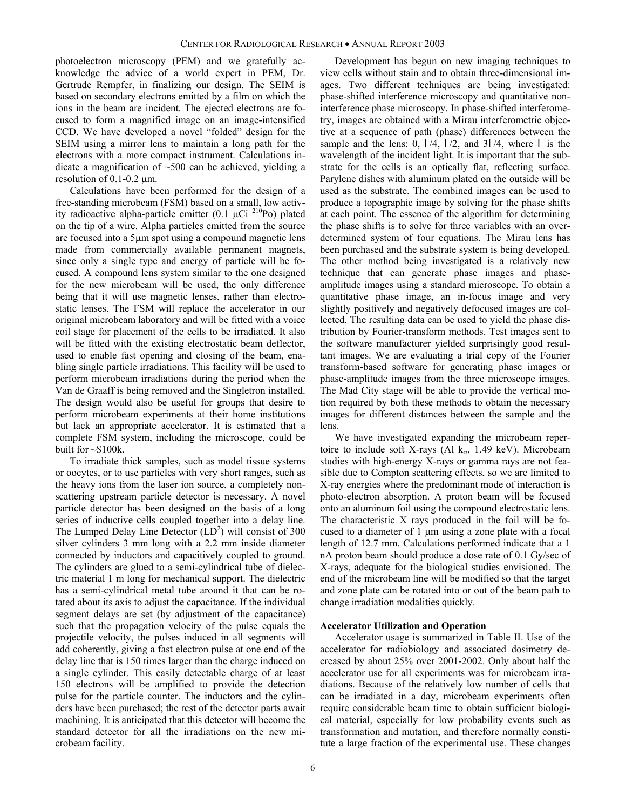photoelectron microscopy (PEM) and we gratefully acknowledge the advice of a world expert in PEM, Dr. Gertrude Rempfer, in finalizing our design. The SEIM is based on secondary electrons emitted by a film on which the ions in the beam are incident. The ejected electrons are focused to form a magnified image on an image-intensified CCD. We have developed a novel "folded" design for the SEIM using a mirror lens to maintain a long path for the electrons with a more compact instrument. Calculations indicate a magnification of  $\sim$ 500 can be achieved, yielding a resolution of  $0.1$ - $0.2 \mu$ m.

Calculations have been performed for the design of a free-standing microbeam (FSM) based on a small, low activity radioactive alpha-particle emitter (0.1  $\mu$ Ci <sup>210</sup>Po) plated on the tip of a wire. Alpha particles emitted from the source are focused into a 5µm spot using a compound magnetic lens made from commercially available permanent magnets, since only a single type and energy of particle will be focused. A compound lens system similar to the one designed for the new microbeam will be used, the only difference being that it will use magnetic lenses, rather than electrostatic lenses. The FSM will replace the accelerator in our original microbeam laboratory and will be fitted with a voice coil stage for placement of the cells to be irradiated. It also will be fitted with the existing electrostatic beam deflector, used to enable fast opening and closing of the beam, enabling single particle irradiations. This facility will be used to perform microbeam irradiations during the period when the Van de Graaff is being removed and the Singletron installed. The design would also be useful for groups that desire to perform microbeam experiments at their home institutions but lack an appropriate accelerator. It is estimated that a complete FSM system, including the microscope, could be built for  $\sim$ \$100k.

To irradiate thick samples, such as model tissue systems or oocytes, or to use particles with very short ranges, such as the heavy ions from the laser ion source, a completely nonscattering upstream particle detector is necessary. A novel particle detector has been designed on the basis of a long series of inductive cells coupled together into a delay line. The Lumped Delay Line Detector  $(LD<sup>2</sup>)$  will consist of 300 silver cylinders 3 mm long with a 2.2 mm inside diameter connected by inductors and capacitively coupled to ground. The cylinders are glued to a semi-cylindrical tube of dielectric material 1 m long for mechanical support. The dielectric has a semi-cylindrical metal tube around it that can be rotated about its axis to adjust the capacitance. If the individual segment delays are set (by adjustment of the capacitance) such that the propagation velocity of the pulse equals the projectile velocity, the pulses induced in all segments will add coherently, giving a fast electron pulse at one end of the delay line that is 150 times larger than the charge induced on a single cylinder. This easily detectable charge of at least 150 electrons will be amplified to provide the detection pulse for the particle counter. The inductors and the cylinders have been purchased; the rest of the detector parts await machining. It is anticipated that this detector will become the standard detector for all the irradiations on the new microbeam facility.

Development has begun on new imaging techniques to view cells without stain and to obtain three-dimensional images. Two different techniques are being investigated: phase-shifted interference microscopy and quantitative noninterference phase microscopy. In phase-shifted interferometry, images are obtained with a Mirau interferometric objective at a sequence of path (phase) differences between the sample and the lens:  $0, 1/4, 1/2,$  and  $3/4$ , where l is the wavelength of the incident light. It is important that the substrate for the cells is an optically flat, reflecting surface. Parylene dishes with aluminum plated on the outside will be used as the substrate. The combined images can be used to produce a topographic image by solving for the phase shifts at each point. The essence of the algorithm for determining the phase shifts is to solve for three variables with an overdetermined system of four equations. The Mirau lens has been purchased and the substrate system is being developed. The other method being investigated is a relatively new technique that can generate phase images and phaseamplitude images using a standard microscope. To obtain a quantitative phase image, an in-focus image and very slightly positively and negatively defocused images are collected. The resulting data can be used to yield the phase distribution by Fourier-transform methods. Test images sent to the software manufacturer yielded surprisingly good resultant images. We are evaluating a trial copy of the Fourier transform-based software for generating phase images or phase-amplitude images from the three microscope images. The Mad City stage will be able to provide the vertical motion required by both these methods to obtain the necessary images for different distances between the sample and the lens.

We have investigated expanding the microbeam repertoire to include soft X-rays (Al  $k_{\alpha}$ , 1.49 keV). Microbeam studies with high-energy X-rays or gamma rays are not feasible due to Compton scattering effects, so we are limited to X-ray energies where the predominant mode of interaction is photo-electron absorption. A proton beam will be focused onto an aluminum foil using the compound electrostatic lens. The characteristic X rays produced in the foil will be focused to a diameter of 1 µm using a zone plate with a focal length of 12.7 mm. Calculations performed indicate that a 1 nA proton beam should produce a dose rate of 0.1 Gy/sec of X-rays, adequate for the biological studies envisioned. The end of the microbeam line will be modified so that the target and zone plate can be rotated into or out of the beam path to change irradiation modalities quickly.

#### **Accelerator Utilization and Operation**

Accelerator usage is summarized in Table II. Use of the accelerator for radiobiology and associated dosimetry decreased by about 25% over 2001-2002. Only about half the accelerator use for all experiments was for microbeam irradiations. Because of the relatively low number of cells that can be irradiated in a day, microbeam experiments often require considerable beam time to obtain sufficient biological material, especially for low probability events such as transformation and mutation, and therefore normally constitute a large fraction of the experimental use. These changes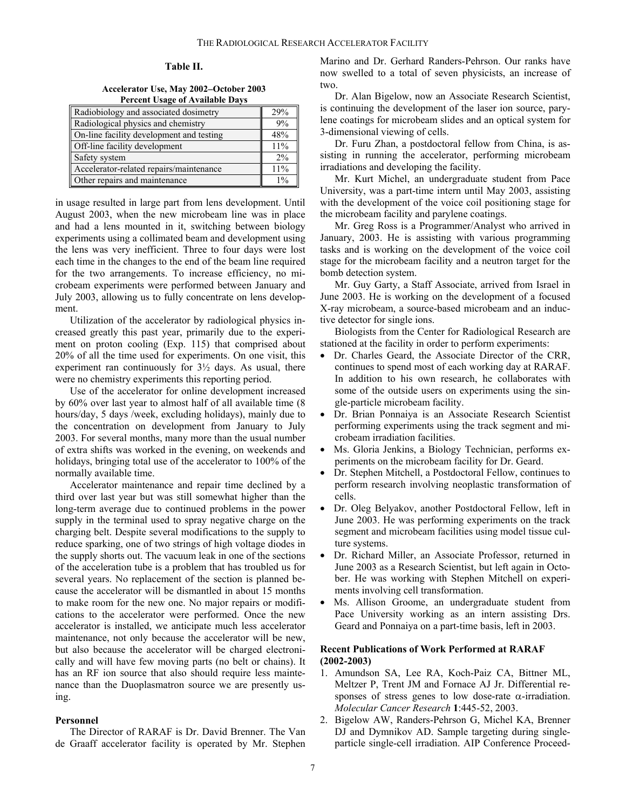## **Table II.**

**Accelerator Use, May 2002**−**October 2003 Percent Usage of Available Days** 

| Radiobiology and associated dosimetry    | 29% |
|------------------------------------------|-----|
| Radiological physics and chemistry       | 9%  |
| On-line facility development and testing | 48% |
| Off-line facility development            | 11% |
| Safety system                            | 2%  |
| Accelerator-related repairs/maintenance  | 11% |
| Other repairs and maintenance            | 1%  |

in usage resulted in large part from lens development. Until August 2003, when the new microbeam line was in place and had a lens mounted in it, switching between biology experiments using a collimated beam and development using the lens was very inefficient. Three to four days were lost each time in the changes to the end of the beam line required for the two arrangements. To increase efficiency, no microbeam experiments were performed between January and July 2003, allowing us to fully concentrate on lens development.

Utilization of the accelerator by radiological physics increased greatly this past year, primarily due to the experiment on proton cooling (Exp. 115) that comprised about 20% of all the time used for experiments. On one visit, this experiment ran continuously for  $3\frac{1}{2}$  days. As usual, there were no chemistry experiments this reporting period.

Use of the accelerator for online development increased by 60% over last year to almost half of all available time (8 hours/day, 5 days /week, excluding holidays), mainly due to the concentration on development from January to July 2003. For several months, many more than the usual number of extra shifts was worked in the evening, on weekends and holidays, bringing total use of the accelerator to 100% of the normally available time.

Accelerator maintenance and repair time declined by a third over last year but was still somewhat higher than the long-term average due to continued problems in the power supply in the terminal used to spray negative charge on the charging belt. Despite several modifications to the supply to reduce sparking, one of two strings of high voltage diodes in the supply shorts out. The vacuum leak in one of the sections of the acceleration tube is a problem that has troubled us for several years. No replacement of the section is planned because the accelerator will be dismantled in about 15 months to make room for the new one. No major repairs or modifications to the accelerator were performed. Once the new accelerator is installed, we anticipate much less accelerator maintenance, not only because the accelerator will be new, but also because the accelerator will be charged electronically and will have few moving parts (no belt or chains). It has an RF ion source that also should require less maintenance than the Duoplasmatron source we are presently using.

# **Personnel**

The Director of RARAF is Dr. David Brenner. The Van de Graaff accelerator facility is operated by Mr. Stephen Marino and Dr. Gerhard Randers-Pehrson. Our ranks have now swelled to a total of seven physicists, an increase of two.

Dr. Alan Bigelow, now an Associate Research Scientist, is continuing the development of the laser ion source, parylene coatings for microbeam slides and an optical system for 3-dimensional viewing of cells.

Dr. Furu Zhan, a postdoctoral fellow from China, is assisting in running the accelerator, performing microbeam irradiations and developing the facility.

Mr. Kurt Michel, an undergraduate student from Pace University, was a part-time intern until May 2003, assisting with the development of the voice coil positioning stage for the microbeam facility and parylene coatings.

Mr. Greg Ross is a Programmer/Analyst who arrived in January, 2003. He is assisting with various programming tasks and is working on the development of the voice coil stage for the microbeam facility and a neutron target for the bomb detection system.

Mr. Guy Garty, a Staff Associate, arrived from Israel in June 2003. He is working on the development of a focused X-ray microbeam, a source-based microbeam and an inductive detector for single ions.

Biologists from the Center for Radiological Research are stationed at the facility in order to perform experiments:

- Dr. Charles Geard, the Associate Director of the CRR, continues to spend most of each working day at RARAF. In addition to his own research, he collaborates with some of the outside users on experiments using the single-particle microbeam facility.
- Dr. Brian Ponnaiya is an Associate Research Scientist performing experiments using the track segment and microbeam irradiation facilities.
- Ms. Gloria Jenkins, a Biology Technician, performs experiments on the microbeam facility for Dr. Geard.
- Dr. Stephen Mitchell, a Postdoctoral Fellow, continues to perform research involving neoplastic transformation of cells.
- Dr. Oleg Belyakov, another Postdoctoral Fellow, left in June 2003. He was performing experiments on the track segment and microbeam facilities using model tissue culture systems.
- Dr. Richard Miller, an Associate Professor, returned in June 2003 as a Research Scientist, but left again in October. He was working with Stephen Mitchell on experiments involving cell transformation.
- Ms. Allison Groome, an undergraduate student from Pace University working as an intern assisting Drs. Geard and Ponnaiya on a part-time basis, left in 2003.

# **Recent Publications of Work Performed at RARAF (2002-2003)**

- 1. Amundson SA, Lee RA, Koch-Paiz CA, Bittner ML, Meltzer P, Trent JM and Fornace AJ Jr. Differential responses of stress genes to low dose-rate  $\alpha$ -irradiation. *Molecular Cancer Research* **1**:445-52, 2003.
- 2. Bigelow AW, Randers-Pehrson G, Michel KA, Brenner DJ and Dymnikov AD. Sample targeting during singleparticle single-cell irradiation. AIP Conference Proceed-